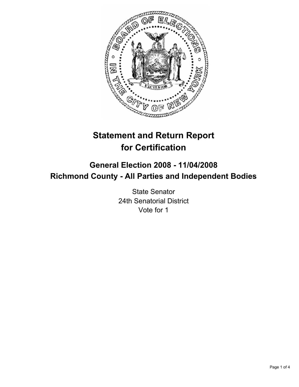

# **Statement and Return Report for Certification**

## **General Election 2008 - 11/04/2008 Richmond County - All Parties and Independent Bodies**

State Senator 24th Senatorial District Vote for 1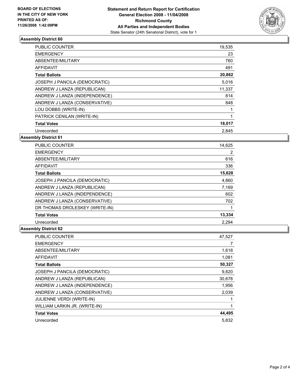

#### **Assembly District 60**

| PUBLIC COUNTER                | 19,535 |  |
|-------------------------------|--------|--|
| <b>EMERGENCY</b>              | 23     |  |
| ABSENTEE/MILITARY             | 760    |  |
| AFFIDAVIT                     | 491    |  |
| <b>Total Ballots</b>          | 20,862 |  |
| JOSEPH J PANCILA (DEMOCRATIC) | 5,016  |  |
| ANDREW J LANZA (REPUBLICAN)   | 11,337 |  |
| ANDREW J LANZA (INDEPENDENCE) | 814    |  |
| ANDREW J LANZA (CONSERVATIVE) | 848    |  |
| LOU DOBBS (WRITE-IN)          |        |  |
| PATRICK CENILAN (WRITE-IN)    |        |  |
| <b>Total Votes</b>            | 18,017 |  |
| Unrecorded                    | 2.845  |  |

### **Assembly District 61**

| <b>PUBLIC COUNTER</b>          | 14,625 |
|--------------------------------|--------|
| <b>EMERGENCY</b>               | 2      |
| ABSENTEE/MILITARY              | 616    |
| AFFIDAVIT                      | 336    |
| <b>Total Ballots</b>           | 15,628 |
| JOSEPH J PANCILA (DEMOCRATIC)  | 4,860  |
| ANDREW J LANZA (REPUBLICAN)    | 7,169  |
| ANDREW J LANZA (INDEPENDENCE)  | 602    |
| ANDREW J LANZA (CONSERVATIVE)  | 702    |
| DR THOMAS DROLESKEY (WRITE-IN) |        |
| <b>Total Votes</b>             | 13,334 |
| Unrecorded                     | 2,294  |

### **Assembly District 62**

| PUBLIC COUNTER                   | 47,527 |
|----------------------------------|--------|
| <b>EMERGENCY</b>                 |        |
| ABSENTEE/MILITARY                | 1,618  |
| <b>AFFIDAVIT</b>                 | 1,081  |
| <b>Total Ballots</b>             | 50,327 |
| JOSEPH J PANCILA (DEMOCRATIC)    | 9,820  |
| ANDREW J LANZA (REPUBLICAN)      | 30,678 |
| ANDREW J LANZA (INDEPENDENCE)    | 1,956  |
| ANDREW J LANZA (CONSERVATIVE)    | 2,039  |
| <b>JULIENNE VERDI (WRITE-IN)</b> |        |
| WILLIAM LARKIN JR. (WRITE-IN)    |        |
| <b>Total Votes</b>               | 44,495 |
| Unrecorded                       | 5,832  |
|                                  |        |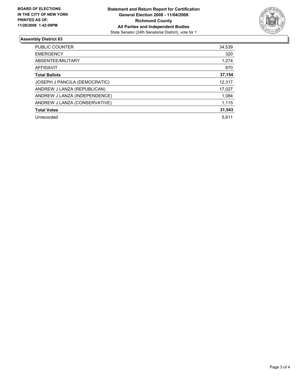

### **Assembly District 63**

| PUBLIC COUNTER                | 34,539 |
|-------------------------------|--------|
| <b>EMERGENCY</b>              | 320    |
| ABSENTEE/MILITARY             | 1,274  |
| AFFIDAVIT                     | 870    |
| <b>Total Ballots</b>          | 37,154 |
| JOSEPH J PANCILA (DEMOCRATIC) | 12,317 |
| ANDREW J LANZA (REPUBLICAN)   | 17,027 |
| ANDREW J LANZA (INDEPENDENCE) | 1,084  |
| ANDREW J LANZA (CONSERVATIVE) | 1,115  |
| <b>Total Votes</b>            | 31,543 |
| Unrecorded                    | 5.611  |